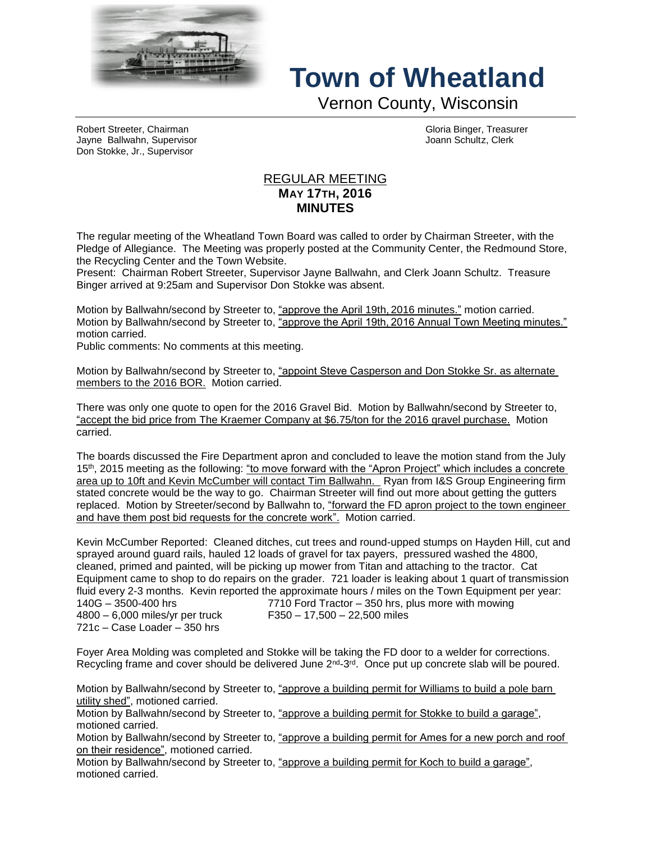

## **Town of Wheatland**

Vernon County, Wisconsin

Robert Streeter, Chairman Gloria Binger, Treasurer Jayne Ballwahn, Supervisor Joann Schultz, Clerk Don Stokke, Jr., Supervisor

## REGULAR MEETING **MAY 17TH, 2016 MINUTES**

The regular meeting of the Wheatland Town Board was called to order by Chairman Streeter, with the Pledge of Allegiance. The Meeting was properly posted at the Community Center, the Redmound Store, the Recycling Center and the Town Website.

Present: Chairman Robert Streeter, Supervisor Jayne Ballwahn, and Clerk Joann Schultz. Treasure Binger arrived at 9:25am and Supervisor Don Stokke was absent.

Motion by Ballwahn/second by Streeter to, "approve the April 19th, 2016 minutes." motion carried. Motion by Ballwahn/second by Streeter to, "approve the April 19th, 2016 Annual Town Meeting minutes." motion carried.

Public comments: No comments at this meeting.

Motion by Ballwahn/second by Streeter to, "appoint Steve Casperson and Don Stokke Sr. as alternate members to the 2016 BOR. Motion carried.

There was only one quote to open for the 2016 Gravel Bid. Motion by Ballwahn/second by Streeter to, "accept the bid price from The Kraemer Company at \$6.75/ton for the 2016 gravel purchase. Motion carried.

The boards discussed the Fire Department apron and concluded to leave the motion stand from the July 15th, 2015 meeting as the following: "to move forward with the "Apron Project" which includes a concrete area up to 10ft and Kevin McCumber will contact Tim Ballwahn. Ryan from I&S Group Engineering firm stated concrete would be the way to go. Chairman Streeter will find out more about getting the gutters replaced. Motion by Streeter/second by Ballwahn to, "forward the FD apron project to the town engineer and have them post bid requests for the concrete work". Motion carried.

Kevin McCumber Reported: Cleaned ditches, cut trees and round-upped stumps on Hayden Hill, cut and sprayed around guard rails, hauled 12 loads of gravel for tax payers, pressured washed the 4800, cleaned, primed and painted, will be picking up mower from Titan and attaching to the tractor. Cat Equipment came to shop to do repairs on the grader. 721 loader is leaking about 1 quart of transmission fluid every 2-3 months. Kevin reported the approximate hours / miles on the Town Equipment per year: 140G – 3500-400 hrs 7710 Ford Tractor – 350 hrs, plus more with mowing 4800 – 6,000 miles/yr per truck F350 – 17,500 – 22,500 miles 721c – Case Loader – 350 hrs

Foyer Area Molding was completed and Stokke will be taking the FD door to a welder for corrections. Recycling frame and cover should be delivered June 2<sup>nd</sup>-3<sup>rd</sup>. Once put up concrete slab will be poured.

Motion by Ballwahn/second by Streeter to, "approve a building permit for Williams to build a pole barn utility shed", motioned carried.

Motion by Ballwahn/second by Streeter to, "approve a building permit for Stokke to build a garage", motioned carried.

Motion by Ballwahn/second by Streeter to, "approve a building permit for Ames for a new porch and roof on their residence", motioned carried.

Motion by Ballwahn/second by Streeter to, "approve a building permit for Koch to build a garage", motioned carried.